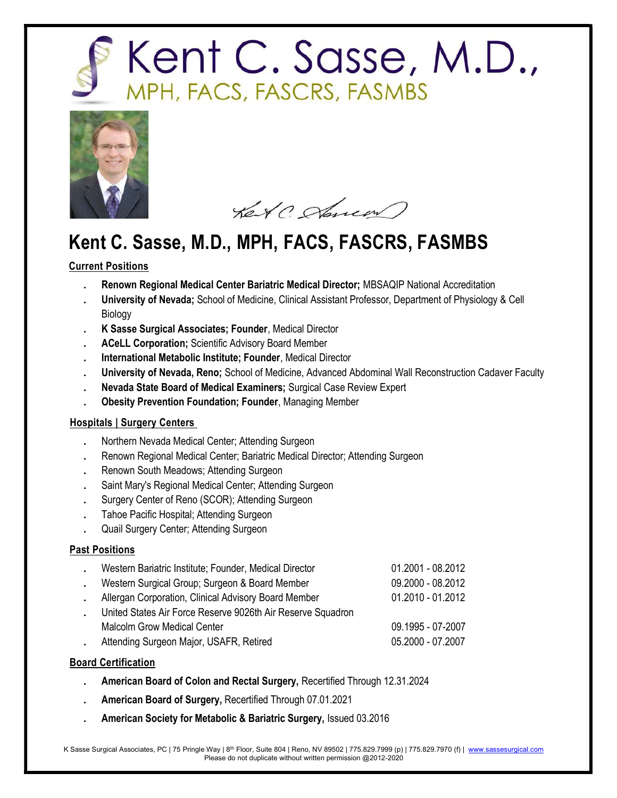



Ket ( Starren)

### Current Positions

- . Renown Regional Medical Center Bariatric Medical Director; MBSAQIP National Accreditation
- . University of Nevada; School of Medicine, Clinical Assistant Professor, Department of Physiology & Cell Biology
- . K Sasse Surgical Associates; Founder, Medical Director
- ACeLL Corporation; Scientific Advisory Board Member
- . International Metabolic Institute; Founder, Medical Director
- . University of Nevada, Reno; School of Medicine, Advanced Abdominal Wall Reconstruction Cadaver Faculty
- . Nevada State Board of Medical Examiners; Surgical Case Review Expert
- . Obesity Prevention Foundation; Founder, Managing Member

### Hospitals | Surgery Centers

- . Northern Nevada Medical Center; Attending Surgeon
- . Renown Regional Medical Center; Bariatric Medical Director; Attending Surgeon
- . Renown South Meadows; Attending Surgeon
- . Saint Mary's Regional Medical Center; Attending Surgeon
- . Surgery Center of Reno (SCOR); Attending Surgeon
- . Tahoe Pacific Hospital; Attending Surgeon
- . Quail Surgery Center; Attending Surgeon

### Past Positions

| Western Bariatric Institute; Founder, Medical Director      | 01.2001 - 08.2012 |  |
|-------------------------------------------------------------|-------------------|--|
| Western Surgical Group; Surgeon & Board Member              | 09.2000 - 08.2012 |  |
| Allergan Corporation, Clinical Advisory Board Member        | 01.2010 - 01.2012 |  |
| United States Air Force Reserve 9026th Air Reserve Squadron |                   |  |
| <b>Malcolm Grow Medical Center</b>                          | 09.1995 - 07-2007 |  |
| Attending Surgeon Major, USAFR, Retired                     | 05.2000 - 07.2007 |  |

### Board Certification

- . American Board of Colon and Rectal Surgery, Recertified Through 12.31.2024
- . American Board of Surgery, Recertified Through 07.01.2021
- . American Society for Metabolic & Bariatric Surgery, Issued 03.2016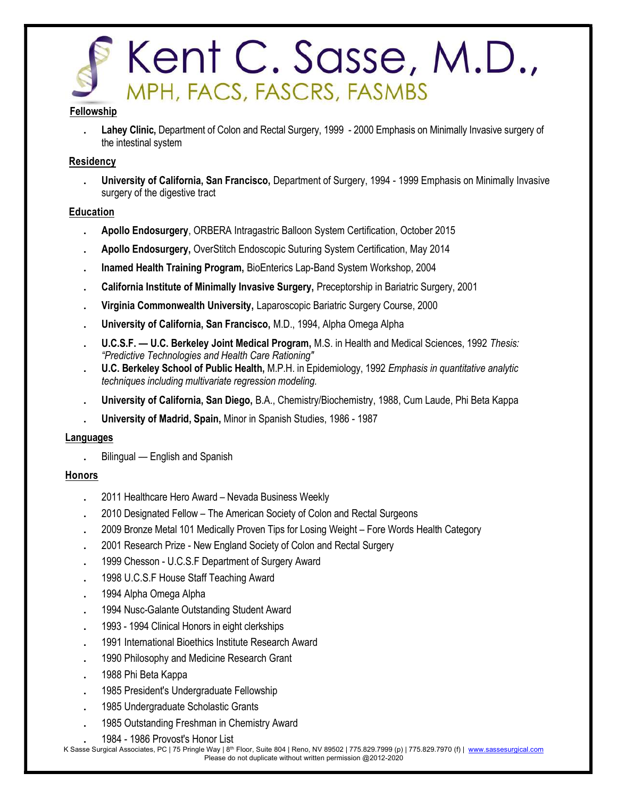

#### Fellowship

Lahey Clinic, Department of Colon and Rectal Surgery, 1999 - 2000 Emphasis on Minimally Invasive surgery of the intestinal system

### Residency

. University of California, San Francisco, Department of Surgery, 1994 - 1999 Emphasis on Minimally Invasive surgery of the digestive tract

### Education

- . Apollo Endosurgery, ORBERA Intragastric Balloon System Certification, October 2015
- . Apollo Endosurgery, OverStitch Endoscopic Suturing System Certification, May 2014
- . Inamed Health Training Program, BioEnterics Lap-Band System Workshop, 2004
- . California Institute of Minimally Invasive Surgery, Preceptorship in Bariatric Surgery, 2001
- . Virginia Commonwealth University, Laparoscopic Bariatric Surgery Course, 2000
- . University of California, San Francisco, M.D., 1994, Alpha Omega Alpha
- U.C.S.F. U.C. Berkeley Joint Medical Program, M.S. in Health and Medical Sciences, 1992 Thesis: "Predictive Technologies and Health Care Rationing"
- U.C. Berkeley School of Public Health, M.P.H. in Epidemiology, 1992 Emphasis in quantitative analytic techniques including multivariate regression modeling.
- . University of California, San Diego, B.A., Chemistry/Biochemistry, 1988, Cum Laude, Phi Beta Kappa
- . University of Madrid, Spain, Minor in Spanish Studies, 1986 1987

#### Languages

. Bilingual — English and Spanish

### Honors

- . 2011 Healthcare Hero Award Nevada Business Weekly
- . 2010 Designated Fellow The American Society of Colon and Rectal Surgeons
- . 2009 Bronze Metal 101 Medically Proven Tips for Losing Weight Fore Words Health Category
- . 2001 Research Prize New England Society of Colon and Rectal Surgery
- . 1999 Chesson U.C.S.F Department of Surgery Award
- . 1998 U.C.S.F House Staff Teaching Award
- . 1994 Alpha Omega Alpha
- . 1994 Nusc-Galante Outstanding Student Award
- . 1993 1994 Clinical Honors in eight clerkships
- . 1991 International Bioethics Institute Research Award
- . 1990 Philosophy and Medicine Research Grant
- . 1988 Phi Beta Kappa
- . 1985 President's Undergraduate Fellowship
- . 1985 Undergraduate Scholastic Grants
- . 1985 Outstanding Freshman in Chemistry Award
	- . 1984 1986 Provost's Honor List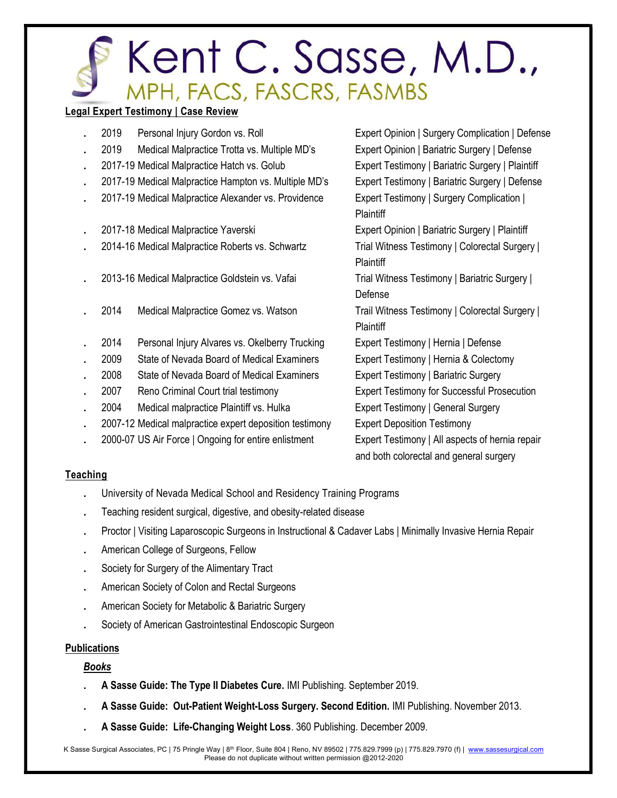### Legal Expert Testimony | Case Review

| 2019 | Personal Injury Gordon vs. Roll                         | Expert Opinion   Surgery Complication   Defense    |
|------|---------------------------------------------------------|----------------------------------------------------|
| 2019 | Medical Malpractice Trotta vs. Multiple MD's            | Expert Opinion   Bariatric Surgery   Defense       |
|      | 2017-19 Medical Malpractice Hatch vs. Golub             | Expert Testimony   Bariatric Surgery   Plaintiff   |
|      | 2017-19 Medical Malpractice Hampton vs. Multiple MD's   | Expert Testimony   Bariatric Surgery   Defense     |
|      | 2017-19 Medical Malpractice Alexander vs. Providence    | Expert Testimony   Surgery Complication            |
|      |                                                         | Plaintiff                                          |
|      | 2017-18 Medical Malpractice Yaverski                    | Expert Opinion   Bariatric Surgery   Plaintiff     |
|      | 2014-16 Medical Malpractice Roberts vs. Schwartz        | Trial Witness Testimony   Colorectal Surgery       |
|      |                                                         | Plaintiff                                          |
|      | 2013-16 Medical Malpractice Goldstein vs. Vafai         | Trial Witness Testimony   Bariatric Surgery        |
|      |                                                         | Defense                                            |
| 2014 | Medical Malpractice Gomez vs. Watson                    | Trail Witness Testimony   Colorectal Surgery       |
|      |                                                         | Plaintiff                                          |
| 2014 | Personal Injury Alvares vs. Okelberry Trucking          | Expert Testimony   Hernia   Defense                |
| 2009 | State of Nevada Board of Medical Examiners              | Expert Testimony   Hernia & Colectomy              |
| 2008 | State of Nevada Board of Medical Examiners              | Expert Testimony   Bariatric Surgery               |
| 2007 | Reno Criminal Court trial testimony                     | <b>Expert Testimony for Successful Prosecution</b> |
| 2004 | Medical malpractice Plaintiff vs. Hulka                 | <b>Expert Testimony   General Surgery</b>          |
|      | 2007-12 Medical malpractice expert deposition testimony | <b>Expert Deposition Testimony</b>                 |
|      | 2000-07 US Air Force   Ongoing for entire enlistment    | Expert Testimony   All aspects of hernia repair    |
|      |                                                         | and both colorectal and general surgery            |

### **Teaching**

- . University of Nevada Medical School and Residency Training Programs
- . Teaching resident surgical, digestive, and obesity-related disease
- . Proctor | Visiting Laparoscopic Surgeons in Instructional & Cadaver Labs | Minimally Invasive Hernia Repair
- . American College of Surgeons, Fellow
- . Society for Surgery of the Alimentary Tract
- . American Society of Colon and Rectal Surgeons
- . American Society for Metabolic & Bariatric Surgery
- . Society of American Gastrointestinal Endoscopic Surgeon

### Publications

### Books

- . A Sasse Guide: The Type II Diabetes Cure. IMI Publishing. September 2019.
- . A Sasse Guide: Out-Patient Weight-Loss Surgery. Second Edition. IMI Publishing. November 2013.
- . A Sasse Guide: Life-Changing Weight Loss. 360 Publishing. December 2009.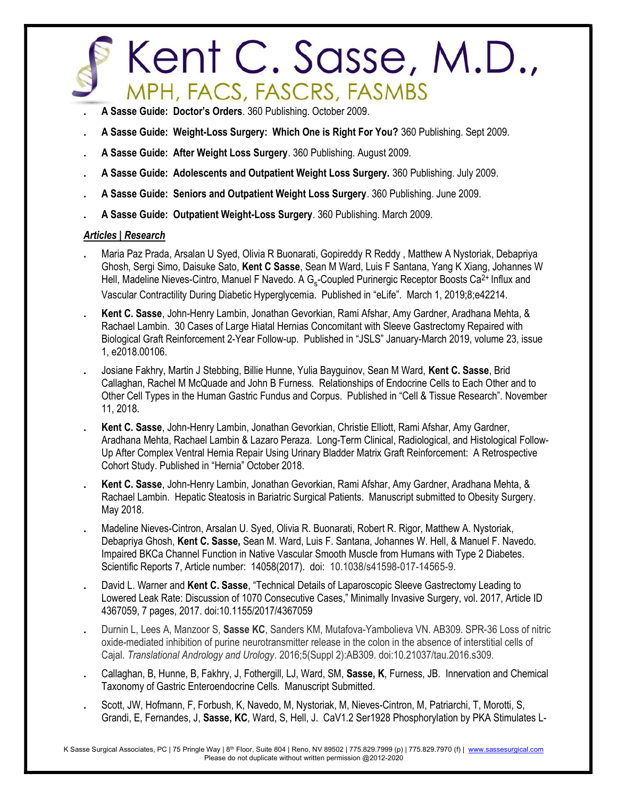- . A Sasse Guide: Doctor's Orders. 360 Publishing. October 2009.
- . A Sasse Guide: Weight-Loss Surgery: Which One is Right For You? 360 Publishing. Sept 2009.
- . A Sasse Guide: After Weight Loss Surgery. 360 Publishing. August 2009.
- . A Sasse Guide: Adolescents and Outpatient Weight Loss Surgery. 360 Publishing. July 2009.
- . A Sasse Guide: Seniors and Outpatient Weight Loss Surgery. 360 Publishing. June 2009.
- . A Sasse Guide: Outpatient Weight-Loss Surgery. 360 Publishing. March 2009.

### Articles | Research

- . Maria Paz Prada, Arsalan U Syed, Olivia R Buonarati, Gopireddy R Reddy , Matthew A Nystoriak, Debapriya Ghosh, Sergi Simo, Daisuke Sato, Kent C Sasse, Sean M Ward, Luis F Santana, Yang K Xiang, Johannes W Hell, Madeline Nieves-Cintro, Manuel F Navedo. A G<sub>s</sub>-Coupled Purinergic Receptor Boosts Ca<sup>2+</sup> Influx and Vascular Contractility During Diabetic Hyperglycemia. Published in "eLife". March 1, 2019;8;e42214.
- . Kent C. Sasse, John-Henry Lambin, Jonathan Gevorkian, Rami Afshar, Amy Gardner, Aradhana Mehta, & Rachael Lambin. 30 Cases of Large Hiatal Hernias Concomitant with Sleeve Gastrectomy Repaired with Biological Graft Reinforcement 2-Year Follow-up. Published in "JSLS" January-March 2019, volume 23, issue 1, e2018.00106.
- . Josiane Fakhry, Martin J Stebbing, Billie Hunne, Yulia Bayguinov, Sean M Ward, Kent C. Sasse, Brid Callaghan, Rachel M McQuade and John B Furness. Relationships of Endocrine Cells to Each Other and to Other Cell Types in the Human Gastric Fundus and Corpus. Published in "Cell & Tissue Research". November 11, 2018.
- . Kent C. Sasse, John-Henry Lambin, Jonathan Gevorkian, Christie Elliott, Rami Afshar, Amy Gardner, Aradhana Mehta, Rachael Lambin & Lazaro Peraza. Long-Term Clinical, Radiological, and Histological Follow-Up After Complex Ventral Hernia Repair Using Urinary Bladder Matrix Graft Reinforcement: A Retrospective Cohort Study. Published in "Hernia" October 2018.
- . Kent C. Sasse, John-Henry Lambin, Jonathan Gevorkian, Rami Afshar, Amy Gardner, Aradhana Mehta, & Rachael Lambin. Hepatic Steatosis in Bariatric Surgical Patients. Manuscript submitted to Obesity Surgery. May 2018.
- . Madeline Nieves-Cintron, Arsalan U. Syed, Olivia R. Buonarati, Robert R. Rigor, Matthew A. Nystoriak, Debapriya Ghosh, Kent C. Sasse, Sean M. Ward, Luis F. Santana, Johannes W. Hell, & Manuel F. Navedo. Impaired BKCa Channel Function in Native Vascular Smooth Muscle from Humans with Type 2 Diabetes. Scientific Reports 7, Article number: 14058(2017). doi: 10.1038/s41598-017-14565-9.
- David L. Warner and Kent C. Sasse, "Technical Details of Laparoscopic Sleeve Gastrectomy Leading to Lowered Leak Rate: Discussion of 1070 Consecutive Cases," Minimally Invasive Surgery, vol. 2017, Article ID 4367059, 7 pages, 2017. doi:10.1155/2017/4367059
- Durnin L, Lees A, Manzoor S, Sasse KC, Sanders KM, Mutafova-Yambolieva VN. AB309. SPR-36 Loss of nitric oxide-mediated inhibition of purine neurotransmitter release in the colon in the absence of interstitial cells of Cajal. Translational Andrology and Urology. 2016;5(Suppl 2):AB309. doi:10.21037/tau.2016.s309.
- . Callaghan, B, Hunne, B, Fakhry, J, Fothergill, LJ, Ward, SM, Sasse, K, Furness, JB. Innervation and Chemical Taxonomy of Gastric Enteroendocrine Cells. Manuscript Submitted.
- . Scott, JW, Hofmann, F, Forbush, K, Navedo, M, Nystoriak, M, Nieves-Cintron, M, Patriarchi, T, Morotti, S, Grandi, E, Fernandes, J, Sasse, KC, Ward, S, Hell, J. CaV1.2 Ser1928 Phosphorylation by PKA Stimulates L-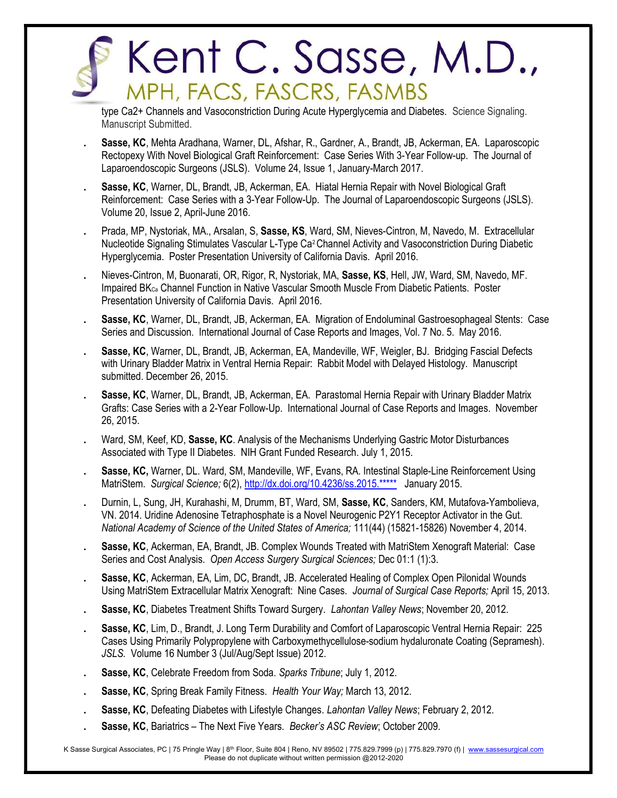type Ca2+ Channels and Vasoconstriction During Acute Hyperglycemia and Diabetes. Science Signaling. Manuscript Submitted.

- Sasse, KC, Mehta Aradhana, Warner, DL, Afshar, R., Gardner, A., Brandt, JB, Ackerman, EA. Laparoscopic Rectopexy With Novel Biological Graft Reinforcement: Case Series With 3-Year Follow-up. The Journal of Laparoendoscopic Surgeons (JSLS). Volume 24, Issue 1, January-March 2017.
- Sasse, KC, Warner, DL, Brandt, JB, Ackerman, EA. Hiatal Hernia Repair with Novel Biological Graft Reinforcement: Case Series with a 3-Year Follow-Up. The Journal of Laparoendoscopic Surgeons (JSLS). Volume 20, Issue 2, April-June 2016.
- . Prada, MP, Nystoriak, MA., Arsalan, S, Sasse, KS, Ward, SM, Nieves-Cintron, M, Navedo, M. Extracellular Nucleotide Signaling Stimulates Vascular L-Type Ca2 Channel Activity and Vasoconstriction During Diabetic Hyperglycemia. Poster Presentation University of California Davis. April 2016.
- . Nieves-Cintron, M, Buonarati, OR, Rigor, R, Nystoriak, MA, Sasse, KS, Hell, JW, Ward, SM, Navedo, MF. Impaired BKCa Channel Function in Native Vascular Smooth Muscle From Diabetic Patients. Poster Presentation University of California Davis. April 2016.
- Sasse, KC, Warner, DL, Brandt, JB, Ackerman, EA. Migration of Endoluminal Gastroesophageal Stents: Case Series and Discussion. International Journal of Case Reports and Images, Vol. 7 No. 5. May 2016.
- Sasse, KC, Warner, DL, Brandt, JB, Ackerman, EA, Mandeville, WF, Weigler, BJ. Bridging Fascial Defects with Urinary Bladder Matrix in Ventral Hernia Repair: Rabbit Model with Delayed Histology. Manuscript submitted. December 26, 2015.
- Sasse, KC, Warner, DL, Brandt, JB, Ackerman, EA. Parastomal Hernia Repair with Urinary Bladder Matrix Grafts: Case Series with a 2-Year Follow-Up. International Journal of Case Reports and Images. November 26, 2015.
- Ward, SM, Keef, KD, Sasse, KC. Analysis of the Mechanisms Underlying Gastric Motor Disturbances Associated with Type II Diabetes. NIH Grant Funded Research. July 1, 2015.
- Sasse, KC, Warner, DL. Ward, SM, Mandeville, WF, Evans, RA. Intestinal Staple-Line Reinforcement Using MatriStem. Surgical Science; 6(2), http://dx.doi.org/10.4236/ss.2015.\*\*\*\*\* January 2015.
- Durnin, L, Sung, JH, Kurahashi, M, Drumm, BT, Ward, SM, Sasse, KC, Sanders, KM, Mutafova-Yambolieva, VN. 2014. Uridine Adenosine Tetraphosphate is a Novel Neurogenic P2Y1 Receptor Activator in the Gut. National Academy of Science of the United States of America; 111(44) (15821-15826) November 4, 2014.
- Sasse, KC, Ackerman, EA, Brandt, JB. Complex Wounds Treated with MatriStem Xenograft Material: Case Series and Cost Analysis. Open Access Surgery Surgical Sciences; Dec 01:1 (1):3.
- Sasse, KC, Ackerman, EA, Lim, DC, Brandt, JB. Accelerated Healing of Complex Open Pilonidal Wounds Using MatriStem Extracellular Matrix Xenograft: Nine Cases. Journal of Surgical Case Reports; April 15, 2013.
- Sasse, KC, Diabetes Treatment Shifts Toward Surgery. Lahontan Valley News; November 20, 2012.
- Sasse, KC, Lim, D., Brandt, J. Long Term Durability and Comfort of Laparoscopic Ventral Hernia Repair: 225 Cases Using Primarily Polypropylene with Carboxymethycellulose-sodium hydaluronate Coating (Sepramesh). JSLS. Volume 16 Number 3 (Jul/Aug/Sept Issue) 2012.
- Sasse, KC, Celebrate Freedom from Soda. Sparks Tribune; July 1, 2012.
- Sasse, KC, Spring Break Family Fitness. Health Your Way; March 13, 2012.
- Sasse, KC, Defeating Diabetes with Lifestyle Changes. Lahontan Valley News; February 2, 2012.
- Sasse, KC, Bariatrics The Next Five Years. Becker's ASC Review; October 2009.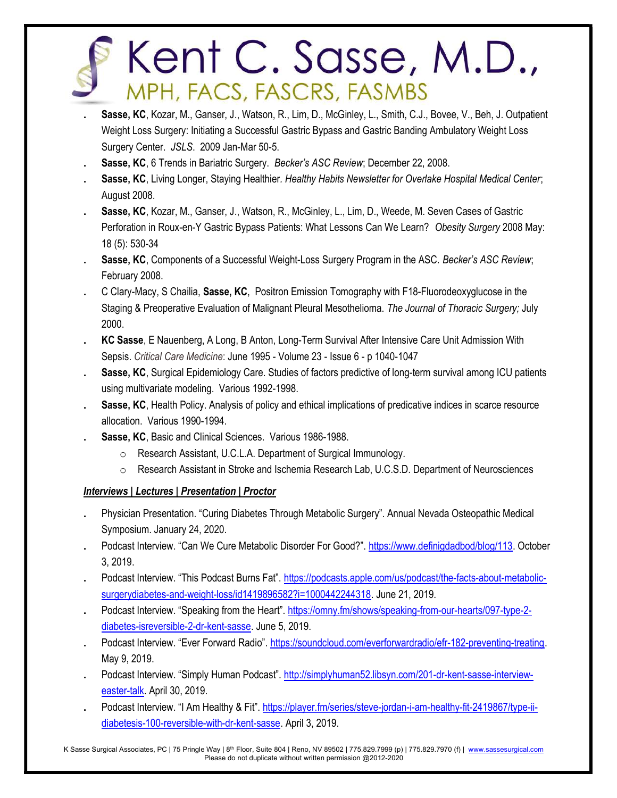- Sasse, KC, Kozar, M., Ganser, J., Watson, R., Lim, D., McGinley, L., Smith, C.J., Bovee, V., Beh, J. Outpatient Weight Loss Surgery: Initiating a Successful Gastric Bypass and Gastric Banding Ambulatory Weight Loss Surgery Center. JSLS. 2009 Jan-Mar 50-5.
- Sasse, KC, 6 Trends in Bariatric Surgery. Becker's ASC Review; December 22, 2008.
- Sasse, KC, Living Longer, Staying Healthier. Healthy Habits Newsletter for Overlake Hospital Medical Center; August 2008.
- Sasse, KC, Kozar, M., Ganser, J., Watson, R., McGinley, L., Lim, D., Weede, M. Seven Cases of Gastric Perforation in Roux-en-Y Gastric Bypass Patients: What Lessons Can We Learn? Obesity Surgery 2008 May: 18 (5): 530-34
- Sasse, KC, Components of a Successful Weight-Loss Surgery Program in the ASC. Becker's ASC Review; February 2008.
- . C Clary-Macy, S Chailia, Sasse, KC, Positron Emission Tomography with F18-Fluorodeoxyglucose in the Staging & Preoperative Evaluation of Malignant Pleural Mesothelioma. The Journal of Thoracic Surgery; July 2000.
- . KC Sasse, E Nauenberg, A Long, B Anton, Long-Term Survival After Intensive Care Unit Admission With Sepsis. Critical Care Medicine: June 1995 - Volume 23 - Issue 6 - p 1040-1047
- Sasse, KC, Surgical Epidemiology Care. Studies of factors predictive of long-term survival among ICU patients using multivariate modeling. Various 1992-1998.
- Sasse, KC, Health Policy. Analysis of policy and ethical implications of predicative indices in scarce resource allocation. Various 1990-1994.
- . Sasse, KC, Basic and Clinical Sciences. Various 1986-1988.
	- o Research Assistant, U.C.L.A. Department of Surgical Immunology.
	- o Research Assistant in Stroke and Ischemia Research Lab, U.C.S.D. Department of Neurosciences

### Interviews | Lectures | Presentation | Proctor

- . Physician Presentation. "Curing Diabetes Through Metabolic Surgery". Annual Nevada Osteopathic Medical Symposium. January 24, 2020.
- . Podcast Interview. "Can We Cure Metabolic Disorder For Good?". https://www.definigdadbod/blog/113. October 3, 2019.
- . Podcast Interview. "This Podcast Burns Fat". https://podcasts.apple.com/us/podcast/the-facts-about-metabolicsurgerydiabetes-and-weight-loss/id1419896582?i=1000442244318. June 21, 2019.
- Podcast Interview. "Speaking from the Heart". https://omny.fm/shows/speaking-from-our-hearts/097-type-2diabetes-isreversible-2-dr-kent-sasse. June 5, 2019.
- . Podcast Interview. "Ever Forward Radio". https://soundcloud.com/everforwardradio/efr-182-preventing-treating. May 9, 2019.
- . Podcast Interview. "Simply Human Podcast". http://simplyhuman52.libsyn.com/201-dr-kent-sasse-intervieweaster-talk. April 30, 2019.
- Podcast Interview. "I Am Healthy & Fit". https://player.fm/series/steve-jordan-i-am-healthy-fit-2419867/type-iidiabetesis-100-reversible-with-dr-kent-sasse. April 3, 2019.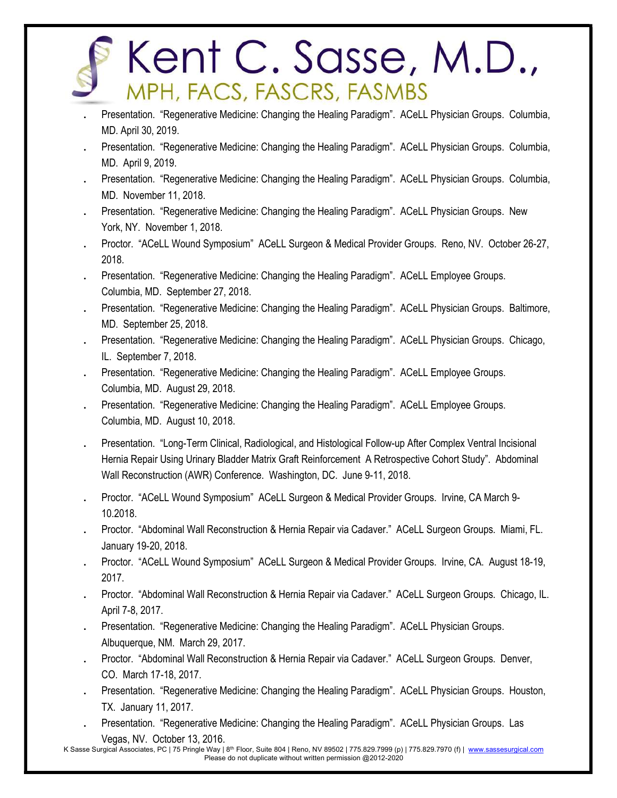- . Presentation. "Regenerative Medicine: Changing the Healing Paradigm". ACeLL Physician Groups. Columbia, MD. April 30, 2019.
- . Presentation. "Regenerative Medicine: Changing the Healing Paradigm". ACeLL Physician Groups. Columbia, MD. April 9, 2019.
- . Presentation. "Regenerative Medicine: Changing the Healing Paradigm". ACeLL Physician Groups. Columbia, MD. November 11, 2018.
- . Presentation. "Regenerative Medicine: Changing the Healing Paradigm". ACeLL Physician Groups. New York, NY. November 1, 2018.
- . Proctor. "ACeLL Wound Symposium" ACeLL Surgeon & Medical Provider Groups. Reno, NV. October 26-27, 2018.
- . Presentation. "Regenerative Medicine: Changing the Healing Paradigm". ACeLL Employee Groups. Columbia, MD. September 27, 2018.
- . Presentation. "Regenerative Medicine: Changing the Healing Paradigm". ACeLL Physician Groups. Baltimore, MD. September 25, 2018.
- . Presentation. "Regenerative Medicine: Changing the Healing Paradigm". ACeLL Physician Groups. Chicago, IL. September 7, 2018.
- . Presentation. "Regenerative Medicine: Changing the Healing Paradigm". ACeLL Employee Groups. Columbia, MD. August 29, 2018.
- . Presentation. "Regenerative Medicine: Changing the Healing Paradigm". ACeLL Employee Groups. Columbia, MD. August 10, 2018.
- . Presentation. "Long-Term Clinical, Radiological, and Histological Follow-up After Complex Ventral Incisional Hernia Repair Using Urinary Bladder Matrix Graft Reinforcement A Retrospective Cohort Study". Abdominal Wall Reconstruction (AWR) Conference. Washington, DC. June 9-11, 2018.
- . Proctor. "ACeLL Wound Symposium" ACeLL Surgeon & Medical Provider Groups. Irvine, CA March 9- 10.2018.
- . Proctor. "Abdominal Wall Reconstruction & Hernia Repair via Cadaver." ACeLL Surgeon Groups. Miami, FL. January 19-20, 2018.
- . Proctor. "ACeLL Wound Symposium" ACeLL Surgeon & Medical Provider Groups. Irvine, CA. August 18-19, 2017.
- . Proctor. "Abdominal Wall Reconstruction & Hernia Repair via Cadaver." ACeLL Surgeon Groups. Chicago, IL. April 7-8, 2017.
- . Presentation. "Regenerative Medicine: Changing the Healing Paradigm". ACeLL Physician Groups. Albuquerque, NM. March 29, 2017.
- . Proctor. "Abdominal Wall Reconstruction & Hernia Repair via Cadaver." ACeLL Surgeon Groups. Denver, CO. March 17-18, 2017.
- . Presentation. "Regenerative Medicine: Changing the Healing Paradigm". ACeLL Physician Groups. Houston, TX. January 11, 2017.
- . Presentation. "Regenerative Medicine: Changing the Healing Paradigm". ACeLL Physician Groups. Las Vegas, NV. October 13, 2016.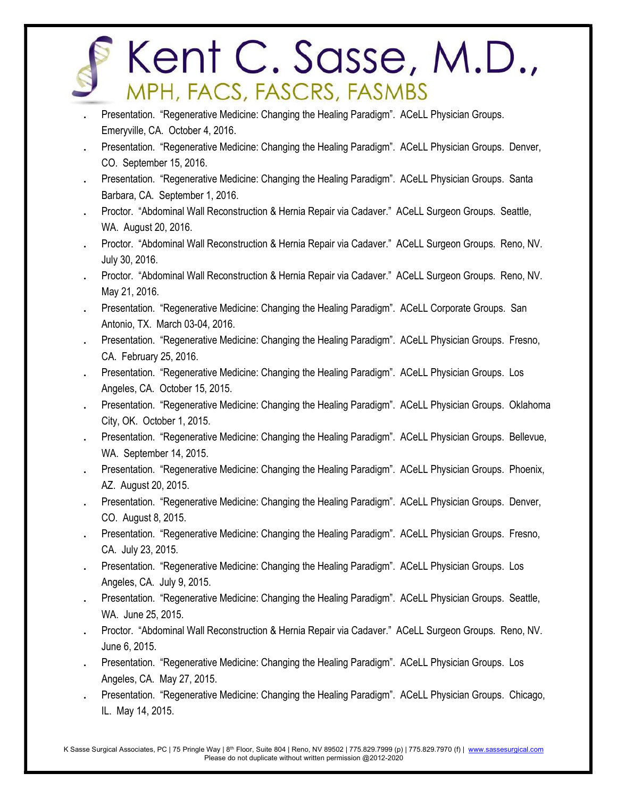- . Presentation. "Regenerative Medicine: Changing the Healing Paradigm". ACeLL Physician Groups. Emeryville, CA. October 4, 2016.
- . Presentation. "Regenerative Medicine: Changing the Healing Paradigm". ACeLL Physician Groups. Denver, CO. September 15, 2016.
- . Presentation. "Regenerative Medicine: Changing the Healing Paradigm". ACeLL Physician Groups. Santa Barbara, CA. September 1, 2016.
- . Proctor. "Abdominal Wall Reconstruction & Hernia Repair via Cadaver." ACeLL Surgeon Groups. Seattle, WA. August 20, 2016.
- . Proctor. "Abdominal Wall Reconstruction & Hernia Repair via Cadaver." ACeLL Surgeon Groups. Reno, NV. July 30, 2016.
- . Proctor. "Abdominal Wall Reconstruction & Hernia Repair via Cadaver." ACeLL Surgeon Groups. Reno, NV. May 21, 2016.
- . Presentation. "Regenerative Medicine: Changing the Healing Paradigm". ACeLL Corporate Groups. San Antonio, TX. March 03-04, 2016.
- . Presentation. "Regenerative Medicine: Changing the Healing Paradigm". ACeLL Physician Groups. Fresno, CA. February 25, 2016.
- . Presentation. "Regenerative Medicine: Changing the Healing Paradigm". ACeLL Physician Groups. Los Angeles, CA. October 15, 2015.
- . Presentation. "Regenerative Medicine: Changing the Healing Paradigm". ACeLL Physician Groups. Oklahoma City, OK. October 1, 2015.
- . Presentation. "Regenerative Medicine: Changing the Healing Paradigm". ACeLL Physician Groups. Bellevue, WA. September 14, 2015.
- . Presentation. "Regenerative Medicine: Changing the Healing Paradigm". ACeLL Physician Groups. Phoenix, AZ. August 20, 2015.
- . Presentation. "Regenerative Medicine: Changing the Healing Paradigm". ACeLL Physician Groups. Denver, CO. August 8, 2015.
- . Presentation. "Regenerative Medicine: Changing the Healing Paradigm". ACeLL Physician Groups. Fresno, CA. July 23, 2015.
- . Presentation. "Regenerative Medicine: Changing the Healing Paradigm". ACeLL Physician Groups. Los Angeles, CA. July 9, 2015.
- . Presentation. "Regenerative Medicine: Changing the Healing Paradigm". ACeLL Physician Groups. Seattle, WA. June 25, 2015.
- . Proctor. "Abdominal Wall Reconstruction & Hernia Repair via Cadaver." ACeLL Surgeon Groups. Reno, NV. June 6, 2015.
- . Presentation. "Regenerative Medicine: Changing the Healing Paradigm". ACeLL Physician Groups. Los Angeles, CA. May 27, 2015.
- . Presentation. "Regenerative Medicine: Changing the Healing Paradigm". ACeLL Physician Groups. Chicago, IL. May 14, 2015.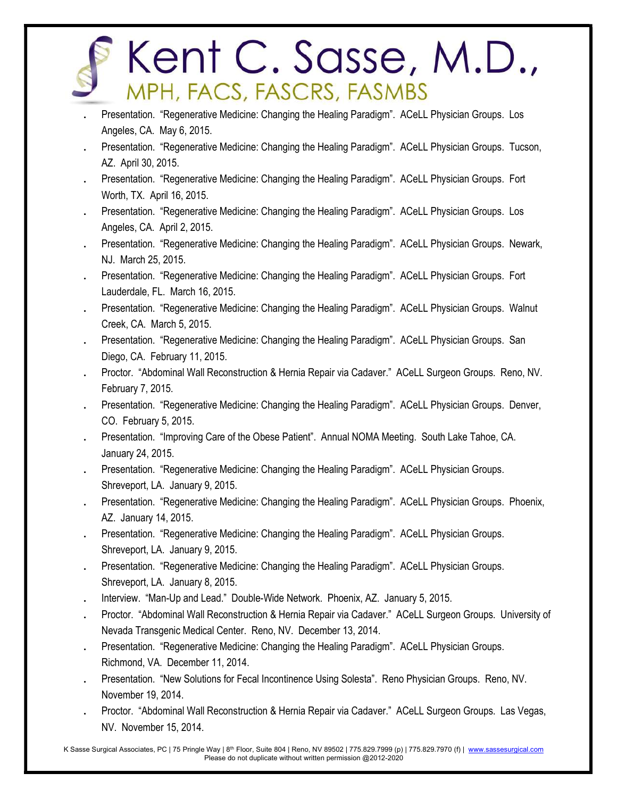- . Presentation. "Regenerative Medicine: Changing the Healing Paradigm". ACeLL Physician Groups. Los Angeles, CA. May 6, 2015.
- . Presentation. "Regenerative Medicine: Changing the Healing Paradigm". ACeLL Physician Groups. Tucson, AZ. April 30, 2015.
- . Presentation. "Regenerative Medicine: Changing the Healing Paradigm". ACeLL Physician Groups. Fort Worth, TX. April 16, 2015.
- . Presentation. "Regenerative Medicine: Changing the Healing Paradigm". ACeLL Physician Groups. Los Angeles, CA. April 2, 2015.
- . Presentation. "Regenerative Medicine: Changing the Healing Paradigm". ACeLL Physician Groups. Newark, NJ. March 25, 2015.
- . Presentation. "Regenerative Medicine: Changing the Healing Paradigm". ACeLL Physician Groups. Fort Lauderdale, FL. March 16, 2015.
- . Presentation. "Regenerative Medicine: Changing the Healing Paradigm". ACeLL Physician Groups. Walnut Creek, CA. March 5, 2015.
- . Presentation. "Regenerative Medicine: Changing the Healing Paradigm". ACeLL Physician Groups. San Diego, CA. February 11, 2015.
- . Proctor. "Abdominal Wall Reconstruction & Hernia Repair via Cadaver." ACeLL Surgeon Groups. Reno, NV. February 7, 2015.
- . Presentation. "Regenerative Medicine: Changing the Healing Paradigm". ACeLL Physician Groups. Denver, CO. February 5, 2015.
- . Presentation. "Improving Care of the Obese Patient". Annual NOMA Meeting. South Lake Tahoe, CA. January 24, 2015.
- . Presentation. "Regenerative Medicine: Changing the Healing Paradigm". ACeLL Physician Groups. Shreveport, LA. January 9, 2015.
- . Presentation. "Regenerative Medicine: Changing the Healing Paradigm". ACeLL Physician Groups. Phoenix, AZ. January 14, 2015.
- . Presentation. "Regenerative Medicine: Changing the Healing Paradigm". ACeLL Physician Groups. Shreveport, LA. January 9, 2015.
- . Presentation. "Regenerative Medicine: Changing the Healing Paradigm". ACeLL Physician Groups. Shreveport, LA. January 8, 2015.
- . Interview. "Man-Up and Lead." Double-Wide Network. Phoenix, AZ. January 5, 2015.
- Proctor. "Abdominal Wall Reconstruction & Hernia Repair via Cadaver." ACeLL Surgeon Groups. University of Nevada Transgenic Medical Center. Reno, NV. December 13, 2014.
- . Presentation. "Regenerative Medicine: Changing the Healing Paradigm". ACeLL Physician Groups. Richmond, VA. December 11, 2014.
- . Presentation. "New Solutions for Fecal Incontinence Using Solesta". Reno Physician Groups. Reno, NV. November 19, 2014.
- . Proctor. "Abdominal Wall Reconstruction & Hernia Repair via Cadaver." ACeLL Surgeon Groups. Las Vegas, NV. November 15, 2014.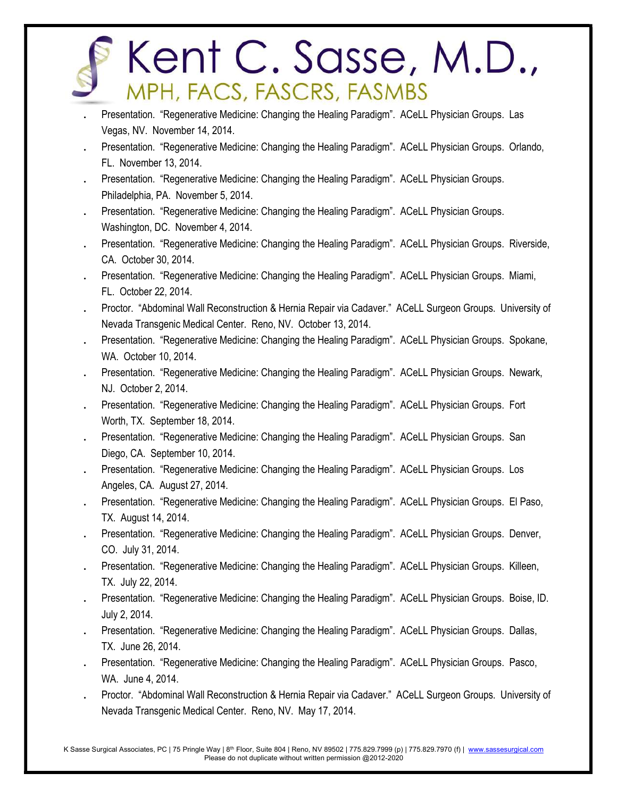- . Presentation. "Regenerative Medicine: Changing the Healing Paradigm". ACeLL Physician Groups. Las Vegas, NV. November 14, 2014.
- . Presentation. "Regenerative Medicine: Changing the Healing Paradigm". ACeLL Physician Groups. Orlando, FL. November 13, 2014.
- . Presentation. "Regenerative Medicine: Changing the Healing Paradigm". ACeLL Physician Groups. Philadelphia, PA. November 5, 2014.
- . Presentation. "Regenerative Medicine: Changing the Healing Paradigm". ACeLL Physician Groups. Washington, DC. November 4, 2014.
- . Presentation. "Regenerative Medicine: Changing the Healing Paradigm". ACeLL Physician Groups. Riverside, CA. October 30, 2014.
- . Presentation. "Regenerative Medicine: Changing the Healing Paradigm". ACeLL Physician Groups. Miami, FL. October 22, 2014.
- Proctor. "Abdominal Wall Reconstruction & Hernia Repair via Cadaver." ACeLL Surgeon Groups. University of Nevada Transgenic Medical Center. Reno, NV. October 13, 2014.
- . Presentation. "Regenerative Medicine: Changing the Healing Paradigm". ACeLL Physician Groups. Spokane, WA. October 10, 2014.
- . Presentation. "Regenerative Medicine: Changing the Healing Paradigm". ACeLL Physician Groups. Newark, NJ. October 2, 2014.
- . Presentation. "Regenerative Medicine: Changing the Healing Paradigm". ACeLL Physician Groups. Fort Worth, TX. September 18, 2014.
- . Presentation. "Regenerative Medicine: Changing the Healing Paradigm". ACeLL Physician Groups. San Diego, CA. September 10, 2014.
- . Presentation. "Regenerative Medicine: Changing the Healing Paradigm". ACeLL Physician Groups. Los Angeles, CA. August 27, 2014.
- . Presentation. "Regenerative Medicine: Changing the Healing Paradigm". ACeLL Physician Groups. El Paso, TX. August 14, 2014.
- . Presentation. "Regenerative Medicine: Changing the Healing Paradigm". ACeLL Physician Groups. Denver, CO. July 31, 2014.
- . Presentation. "Regenerative Medicine: Changing the Healing Paradigm". ACeLL Physician Groups. Killeen, TX. July 22, 2014.
- . Presentation. "Regenerative Medicine: Changing the Healing Paradigm". ACeLL Physician Groups. Boise, ID. July 2, 2014.
- . Presentation. "Regenerative Medicine: Changing the Healing Paradigm". ACeLL Physician Groups. Dallas, TX. June 26, 2014.
- . Presentation. "Regenerative Medicine: Changing the Healing Paradigm". ACeLL Physician Groups. Pasco, WA. June 4, 2014.
- . Proctor. "Abdominal Wall Reconstruction & Hernia Repair via Cadaver." ACeLL Surgeon Groups. University of Nevada Transgenic Medical Center. Reno, NV. May 17, 2014.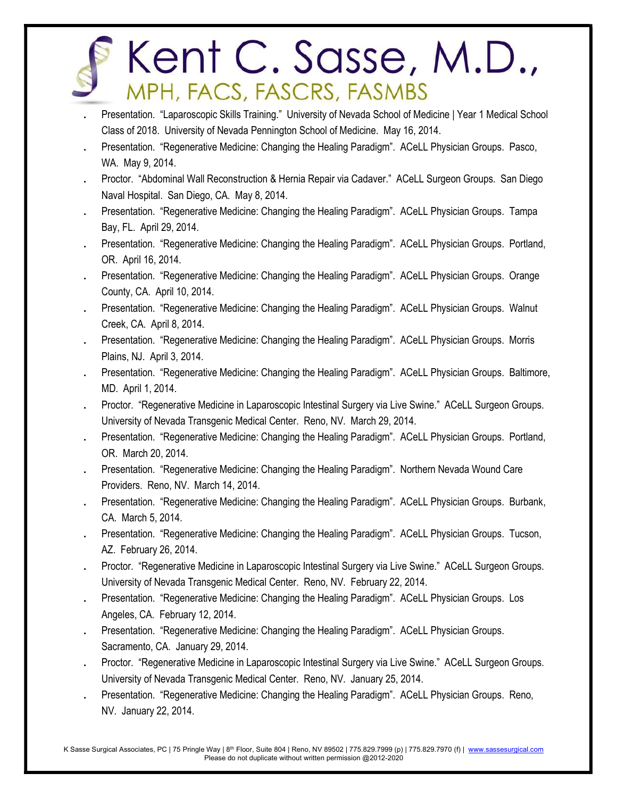- . Presentation. "Laparoscopic Skills Training." University of Nevada School of Medicine | Year 1 Medical School Class of 2018. University of Nevada Pennington School of Medicine. May 16, 2014.
- . Presentation. "Regenerative Medicine: Changing the Healing Paradigm". ACeLL Physician Groups. Pasco, WA. May 9, 2014.
- . Proctor. "Abdominal Wall Reconstruction & Hernia Repair via Cadaver." ACeLL Surgeon Groups. San Diego Naval Hospital. San Diego, CA. May 8, 2014.
- . Presentation. "Regenerative Medicine: Changing the Healing Paradigm". ACeLL Physician Groups. Tampa Bay, FL. April 29, 2014.
- . Presentation. "Regenerative Medicine: Changing the Healing Paradigm". ACeLL Physician Groups. Portland, OR. April 16, 2014.
- . Presentation. "Regenerative Medicine: Changing the Healing Paradigm". ACeLL Physician Groups. Orange County, CA. April 10, 2014.
- . Presentation. "Regenerative Medicine: Changing the Healing Paradigm". ACeLL Physician Groups. Walnut Creek, CA. April 8, 2014.
- . Presentation. "Regenerative Medicine: Changing the Healing Paradigm". ACeLL Physician Groups. Morris Plains, NJ. April 3, 2014.
- . Presentation. "Regenerative Medicine: Changing the Healing Paradigm". ACeLL Physician Groups. Baltimore, MD. April 1, 2014.
- . Proctor. "Regenerative Medicine in Laparoscopic Intestinal Surgery via Live Swine." ACeLL Surgeon Groups. University of Nevada Transgenic Medical Center. Reno, NV. March 29, 2014.
- . Presentation. "Regenerative Medicine: Changing the Healing Paradigm". ACeLL Physician Groups. Portland, OR. March 20, 2014.
- . Presentation. "Regenerative Medicine: Changing the Healing Paradigm". Northern Nevada Wound Care Providers. Reno, NV. March 14, 2014.
- . Presentation. "Regenerative Medicine: Changing the Healing Paradigm". ACeLL Physician Groups. Burbank, CA. March 5, 2014.
- . Presentation. "Regenerative Medicine: Changing the Healing Paradigm". ACeLL Physician Groups. Tucson, AZ. February 26, 2014.
- . Proctor. "Regenerative Medicine in Laparoscopic Intestinal Surgery via Live Swine." ACeLL Surgeon Groups. University of Nevada Transgenic Medical Center. Reno, NV. February 22, 2014.
- . Presentation. "Regenerative Medicine: Changing the Healing Paradigm". ACeLL Physician Groups. Los Angeles, CA. February 12, 2014.
- . Presentation. "Regenerative Medicine: Changing the Healing Paradigm". ACeLL Physician Groups. Sacramento, CA. January 29, 2014.
- . Proctor. "Regenerative Medicine in Laparoscopic Intestinal Surgery via Live Swine." ACeLL Surgeon Groups. University of Nevada Transgenic Medical Center. Reno, NV. January 25, 2014.
- . Presentation. "Regenerative Medicine: Changing the Healing Paradigm". ACeLL Physician Groups. Reno, NV. January 22, 2014.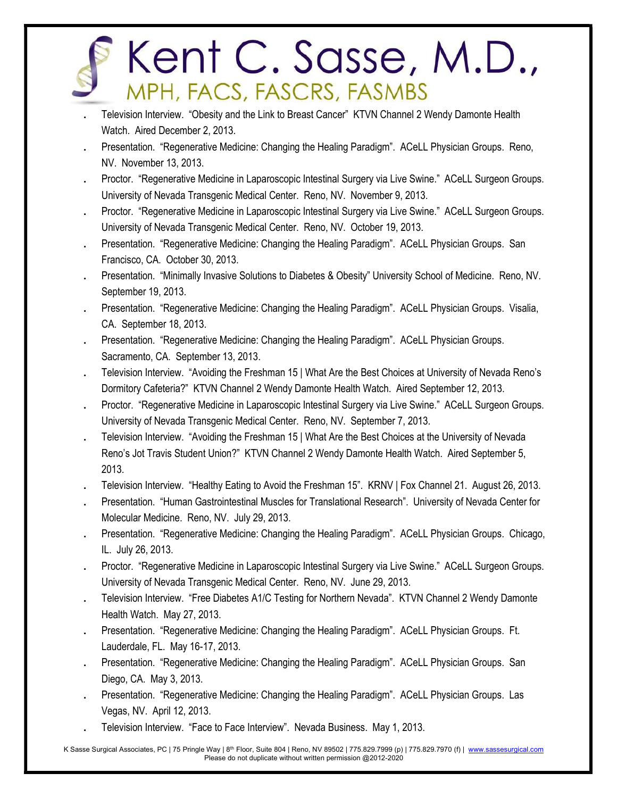- . Television Interview. "Obesity and the Link to Breast Cancer" KTVN Channel 2 Wendy Damonte Health Watch. Aired December 2, 2013.
- . Presentation. "Regenerative Medicine: Changing the Healing Paradigm". ACeLL Physician Groups. Reno, NV. November 13, 2013.
- . Proctor. "Regenerative Medicine in Laparoscopic Intestinal Surgery via Live Swine." ACeLL Surgeon Groups. University of Nevada Transgenic Medical Center. Reno, NV. November 9, 2013.
- . Proctor. "Regenerative Medicine in Laparoscopic Intestinal Surgery via Live Swine." ACeLL Surgeon Groups. University of Nevada Transgenic Medical Center. Reno, NV. October 19, 2013.
- . Presentation. "Regenerative Medicine: Changing the Healing Paradigm". ACeLL Physician Groups. San Francisco, CA. October 30, 2013.
- . Presentation. "Minimally Invasive Solutions to Diabetes & Obesity" University School of Medicine. Reno, NV. September 19, 2013.
- . Presentation. "Regenerative Medicine: Changing the Healing Paradigm". ACeLL Physician Groups. Visalia, CA. September 18, 2013.
- . Presentation. "Regenerative Medicine: Changing the Healing Paradigm". ACeLL Physician Groups. Sacramento, CA. September 13, 2013.
- . Television Interview. "Avoiding the Freshman 15 | What Are the Best Choices at University of Nevada Reno's Dormitory Cafeteria?" KTVN Channel 2 Wendy Damonte Health Watch. Aired September 12, 2013.
- . Proctor. "Regenerative Medicine in Laparoscopic Intestinal Surgery via Live Swine." ACeLL Surgeon Groups. University of Nevada Transgenic Medical Center. Reno, NV. September 7, 2013.
- . Television Interview. "Avoiding the Freshman 15 | What Are the Best Choices at the University of Nevada Reno's Jot Travis Student Union?" KTVN Channel 2 Wendy Damonte Health Watch. Aired September 5, 2013.
- . Television Interview. "Healthy Eating to Avoid the Freshman 15". KRNV | Fox Channel 21. August 26, 2013.
- . Presentation. "Human Gastrointestinal Muscles for Translational Research". University of Nevada Center for Molecular Medicine. Reno, NV. July 29, 2013.
- . Presentation. "Regenerative Medicine: Changing the Healing Paradigm". ACeLL Physician Groups. Chicago, IL. July 26, 2013.
- . Proctor. "Regenerative Medicine in Laparoscopic Intestinal Surgery via Live Swine." ACeLL Surgeon Groups. University of Nevada Transgenic Medical Center. Reno, NV. June 29, 2013.
- . Television Interview. "Free Diabetes A1/C Testing for Northern Nevada". KTVN Channel 2 Wendy Damonte Health Watch. May 27, 2013.
- . Presentation. "Regenerative Medicine: Changing the Healing Paradigm". ACeLL Physician Groups. Ft. Lauderdale, FL. May 16-17, 2013.
- . Presentation. "Regenerative Medicine: Changing the Healing Paradigm". ACeLL Physician Groups. San Diego, CA. May 3, 2013.
- . Presentation. "Regenerative Medicine: Changing the Healing Paradigm". ACeLL Physician Groups. Las Vegas, NV. April 12, 2013.
- . Television Interview. "Face to Face Interview". Nevada Business. May 1, 2013.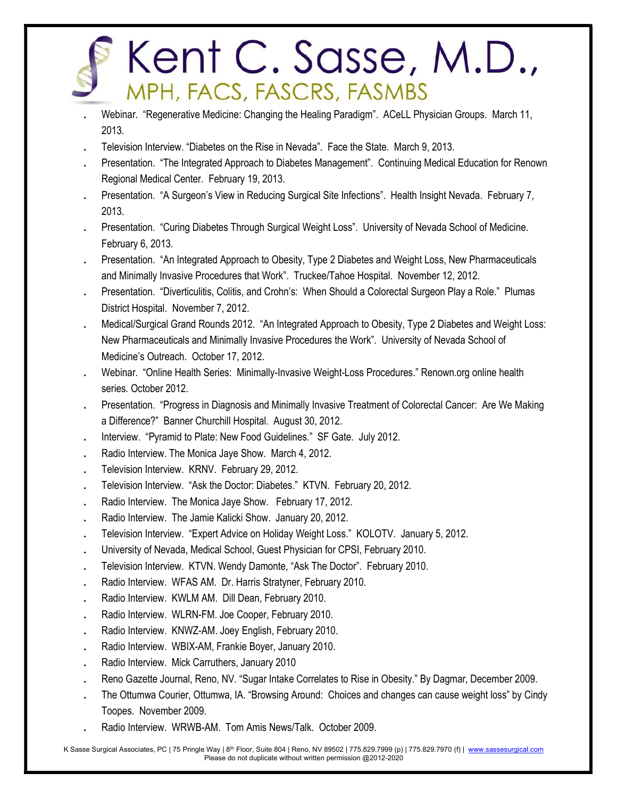- . Webinar. "Regenerative Medicine: Changing the Healing Paradigm". ACeLL Physician Groups. March 11, 2013.
- . Television Interview. "Diabetes on the Rise in Nevada". Face the State. March 9, 2013.
- . Presentation. "The Integrated Approach to Diabetes Management". Continuing Medical Education for Renown Regional Medical Center. February 19, 2013.
- . Presentation. "A Surgeon's View in Reducing Surgical Site Infections". Health Insight Nevada. February 7, 2013.
- . Presentation. "Curing Diabetes Through Surgical Weight Loss". University of Nevada School of Medicine. February 6, 2013.
- . Presentation. "An Integrated Approach to Obesity, Type 2 Diabetes and Weight Loss, New Pharmaceuticals and Minimally Invasive Procedures that Work". Truckee/Tahoe Hospital. November 12, 2012.
- . Presentation. "Diverticulitis, Colitis, and Crohn's: When Should a Colorectal Surgeon Play a Role." Plumas District Hospital. November 7, 2012.
- . Medical/Surgical Grand Rounds 2012. "An Integrated Approach to Obesity, Type 2 Diabetes and Weight Loss: New Pharmaceuticals and Minimally Invasive Procedures the Work". University of Nevada School of Medicine's Outreach. October 17, 2012.
- . Webinar. "Online Health Series: Minimally-Invasive Weight-Loss Procedures." Renown.org online health series. October 2012.
- . Presentation. "Progress in Diagnosis and Minimally Invasive Treatment of Colorectal Cancer: Are We Making a Difference?" Banner Churchill Hospital. August 30, 2012.
- . Interview. "Pyramid to Plate: New Food Guidelines." SF Gate. July 2012.
- . Radio Interview. The Monica Jaye Show. March 4, 2012.
- . Television Interview. KRNV. February 29, 2012.
- . Television Interview. "Ask the Doctor: Diabetes." KTVN. February 20, 2012.
- . Radio Interview. The Monica Jaye Show. February 17, 2012.
- . Radio Interview. The Jamie Kalicki Show. January 20, 2012.
- . Television Interview. "Expert Advice on Holiday Weight Loss." KOLOTV. January 5, 2012.
- . University of Nevada, Medical School, Guest Physician for CPSI, February 2010.
- . Television Interview. KTVN. Wendy Damonte, "Ask The Doctor". February 2010.
- . Radio Interview. WFAS AM. Dr. Harris Stratyner, February 2010.
- . Radio Interview. KWLM AM. Dill Dean, February 2010.
- . Radio Interview. WLRN-FM. Joe Cooper, February 2010.
- . Radio Interview. KNWZ-AM. Joey English, February 2010.
- . Radio Interview. WBIX-AM, Frankie Boyer, January 2010.
- . Radio Interview. Mick Carruthers, January 2010
- . Reno Gazette Journal, Reno, NV. "Sugar Intake Correlates to Rise in Obesity." By Dagmar, December 2009.
- . The Ottumwa Courier, Ottumwa, IA. "Browsing Around: Choices and changes can cause weight loss" by Cindy Toopes. November 2009.
- . Radio Interview. WRWB-AM. Tom Amis News/Talk. October 2009.